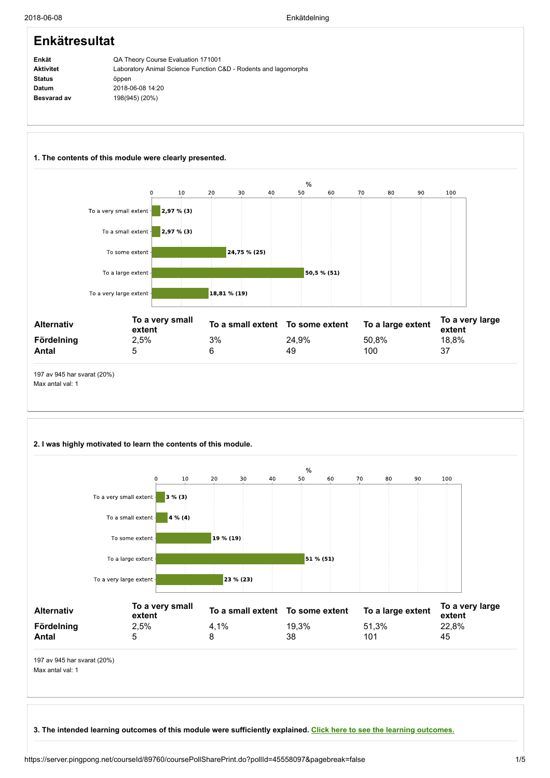#### Enkät Aktivitet Status Datum Besvarad av Enkätresultat QA Theory Course Evaluation 171001 Laboratory Animal Science Function C&D - Rodents and lagomorphs öppen 2018-06-08 14:20 198(945) (20%)



# 2. I was highly motivated to learn the contents of this module.



3. The intended learning outcomes of this module were sufficiently explained. Click here to see the learning [outcomes.](https://server.pingpong.net/courseId/89760/content.do?id=42335937)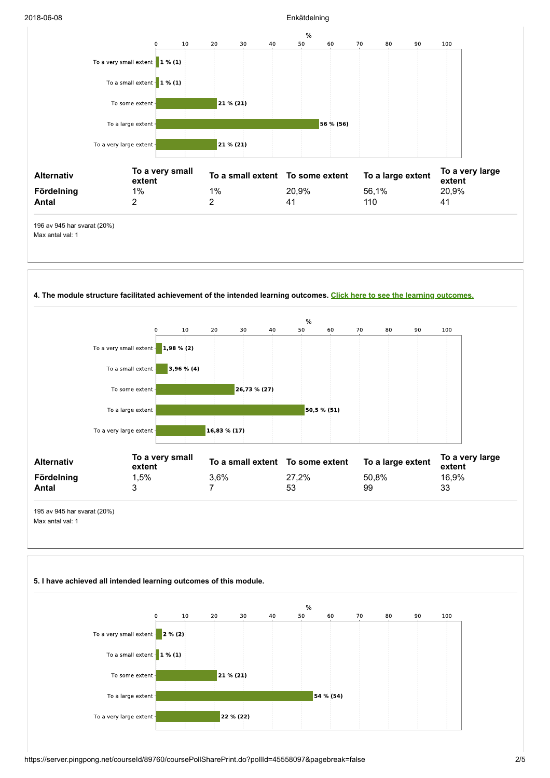### 2018-06-08 Enkätdelning





https://server.pingpong.net/courseId/89760/coursePollSharePrint.do?pollId=45558097&pagebreak=false 2/5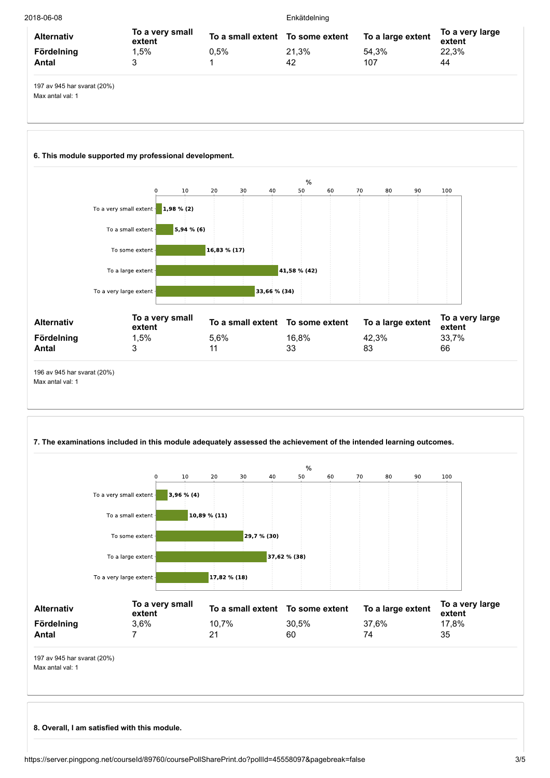| 2018-06-08      |       | Enkätdelning                     |                           |  |
|-----------------|-------|----------------------------------|---------------------------|--|
| To a very small |       | To a large extent                | To a very large<br>extent |  |
| 0.5%            | 21.3% | 54.3%                            | 22.3%                     |  |
|                 | 42    | 107                              | 44                        |  |
|                 |       | To a small extent To some extent |                           |  |

197 av 945 har svarat (20%) Max antal val: 1

# 6. This module supported my professional development.



Max antal val: 1

# 7. The examinations included in this module adequately assessed the achievement of the intended learning outcomes.



8. Overall, I am satisfied with this module.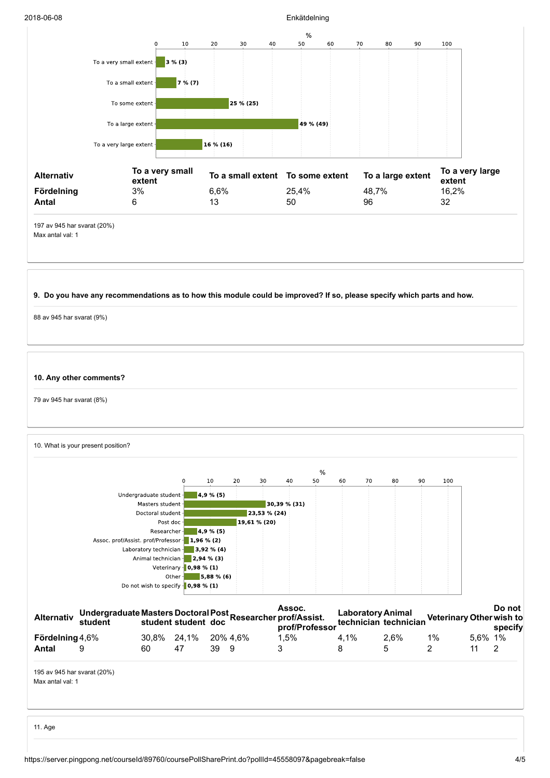### 2018-06-08 Enkätdelning